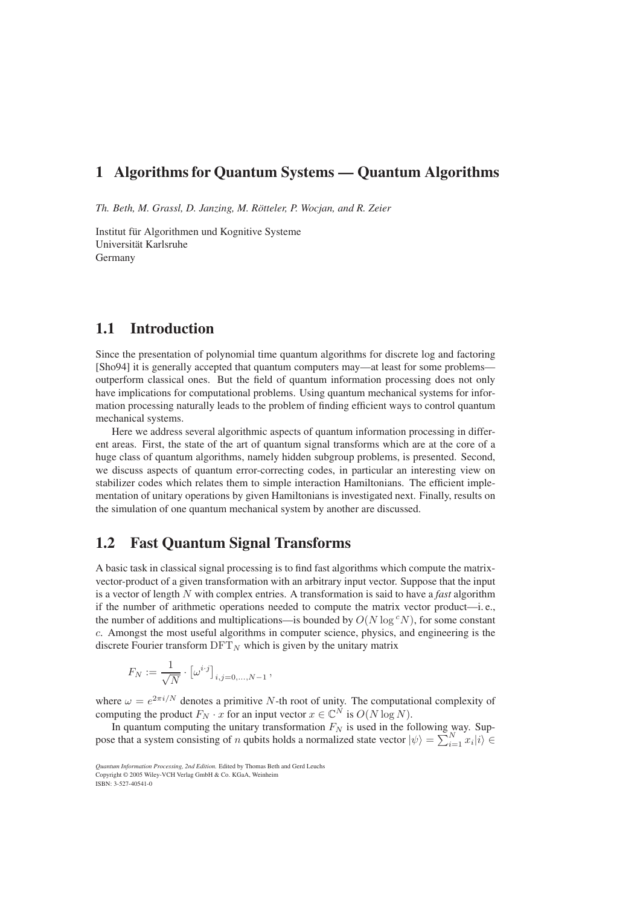## **1 Algorithms for Quantum Systems — Quantum Algorithms**

*Th. Beth, M. Grassl, D. Janzing, M. Rötteler, P. Wocjan, and R. Zeier*

Institut für Algorithmen und Kognitive Systeme Universität Karlsruhe Germany

## **1.1 Introduction**

Since the presentation of polynomial time quantum algorithms for discrete log and factoring [Sho94] it is generally accepted that quantum computers may—at least for some problems outperform classical ones. But the field of quantum information processing does not only have implications for computational problems. Using quantum mechanical systems for information processing naturally leads to the problem of finding efficient ways to control quantum mechanical systems.

Here we address several algorithmic aspects of quantum information processing in different areas. First, the state of the art of quantum signal transforms which are at the core of a huge class of quantum algorithms, namely hidden subgroup problems, is presented. Second, we discuss aspects of quantum error-correcting codes, in particular an interesting view on stabilizer codes which relates them to simple interaction Hamiltonians. The efficient implementation of unitary operations by given Hamiltonians is investigated next. Finally, results on the simulation of one quantum mechanical system by another are discussed.

## **1.2 Fast Quantum Signal Transforms**

A basic task in classical signal processing is to find fast algorithms which compute the matrixvector-product of a given transformation with an arbitrary input vector. Suppose that the input is a vector of length N with complex entries. A transformation is said to have a *fast* algorithm if the number of arithmetic operations needed to compute the matrix vector product—i. e., the number of additions and multiplications—is bounded by  $O(N \log^c N)$ , for some constant c. Amongst the most useful algorithms in computer science, physics, and engineering is the discrete Fourier transform  $\text{DFT}_N$  which is given by the unitary matrix

$$
F_N := \frac{1}{\sqrt{N}} \cdot \left[ \omega^{i \cdot j} \right]_{i,j=0,...,N-1},
$$

where  $\omega = e^{2\pi i/N}$  denotes a primitive N-th root of unity. The computational complexity of computing the product  $F_N \cdot x$  for an input vector  $x \in \mathbb{C}^N$  is  $O(N \log N)$ .

In quantum computing the unitary transformation  $F_N$  is used in the following way. Suppose that a system consisting of *n* qubits holds a normalized state vector  $|\psi\rangle = \sum_{i=1}^{N} x_i |i\rangle \in$ 

*Quantum Information Processing, 2nd Edition.* Edited by Thomas Beth and Gerd Leuchs Copyright © 2005 Wiley-VCH Verlag GmbH & Co. KGaA, Weinheim ISBN: 3-527-40541-0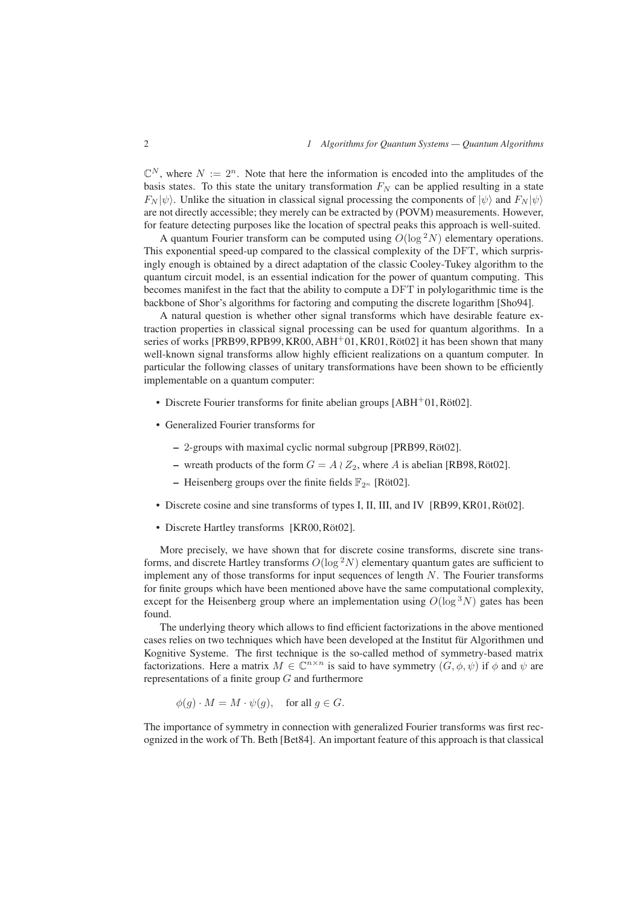$\mathbb{C}^N$ , where  $N := 2^n$ . Note that here the information is encoded into the amplitudes of the basis states. To this state the unitary transformation  $F<sub>N</sub>$  can be applied resulting in a state  $F_N |\psi\rangle$ . Unlike the situation in classical signal processing the components of  $|\psi\rangle$  and  $F_N |\psi\rangle$ are not directly accessible; they merely can be extracted by (POVM) measurements. However, for feature detecting purposes like the location of spectral peaks this approach is well-suited.

A quantum Fourier transform can be computed using  $O(\log^2 N)$  elementary operations. This exponential speed-up compared to the classical complexity of the DFT, which surprisingly enough is obtained by a direct adaptation of the classic Cooley-Tukey algorithm to the quantum circuit model, is an essential indication for the power of quantum computing. This becomes manifest in the fact that the ability to compute a DFT in polylogarithmic time is the backbone of Shor's algorithms for factoring and computing the discrete logarithm [Sho94].

A natural question is whether other signal transforms which have desirable feature extraction properties in classical signal processing can be used for quantum algorithms. In a series of works [PRB99, RPB99, KR00, ABH $+01$ , KR01, Röt02] it has been shown that many well-known signal transforms allow highly efficient realizations on a quantum computer. In particular the following classes of unitary transformations have been shown to be efficiently implementable on a quantum computer:

- Discrete Fourier transforms for finite abelian groups  $[ABH^+01, R\ddot{o}t02]$ .
- Generalized Fourier transforms for
	- **–** 2-groups with maximal cyclic normal subgroup [PRB99, Röt02].
	- **–** wreath products of the form  $G = A \wr Z_2$ , where A is abelian [RB98, Röt02].
	- **–** Heisenberg groups over the finite fields  $\mathbb{F}_{2^n}$  [Röt02].
- Discrete cosine and sine transforms of types I, II, III, and IV [RB99, KR01, Röt02].
- Discrete Hartley transforms [KR00, Röt02].

More precisely, we have shown that for discrete cosine transforms, discrete sine transforms, and discrete Hartley transforms  $O(\log^2 N)$  elementary quantum gates are sufficient to implement any of those transforms for input sequences of length N. The Fourier transforms for finite groups which have been mentioned above have the same computational complexity, except for the Heisenberg group where an implementation using  $O(\log^{3} N)$  gates has been found.

The underlying theory which allows to find efficient factorizations in the above mentioned cases relies on two techniques which have been developed at the Institut für Algorithmen und Kognitive Systeme. The first technique is the so-called method of symmetry-based matrix factorizations. Here a matrix  $M \in \mathbb{C}^{n \times n}$  is said to have symmetry  $(G, \phi, \psi)$  if  $\phi$  and  $\psi$  are representations of a finite group  $G$  and furthermore

$$
\phi(g) \cdot M = M \cdot \psi(g), \quad \text{for all } g \in G.
$$

The importance of symmetry in connection with generalized Fourier transforms was first recognized in the work of Th. Beth [Bet84]. An important feature of this approach is that classical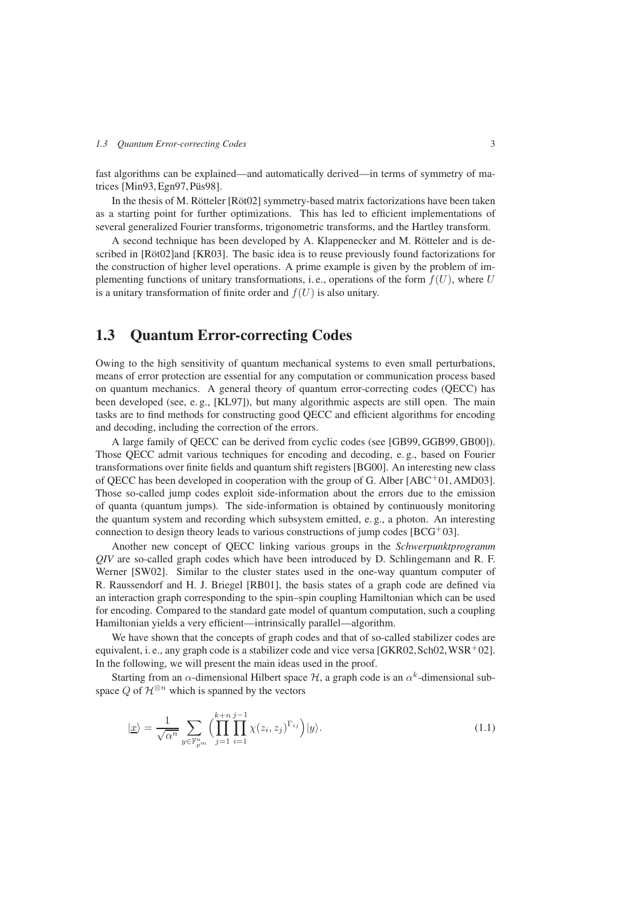fast algorithms can be explained—and automatically derived—in terms of symmetry of matrices [Min93, Egn97, Püs98].

In the thesis of M. Rötteler [Röt02] symmetry-based matrix factorizations have been taken as a starting point for further optimizations. This has led to efficient implementations of several generalized Fourier transforms, trigonometric transforms, and the Hartley transform.

A second technique has been developed by A. Klappenecker and M. Rötteler and is described in [Röt02]and [KR03]. The basic idea is to reuse previously found factorizations for the construction of higher level operations. A prime example is given by the problem of implementing functions of unitary transformations, i.e., operations of the form  $f(U)$ , where U is a unitary transformation of finite order and  $f(U)$  is also unitary.

## **1.3 Quantum Error-correcting Codes**

Owing to the high sensitivity of quantum mechanical systems to even small perturbations, means of error protection are essential for any computation or communication process based on quantum mechanics. A general theory of quantum error-correcting codes (QECC) has been developed (see, e. g., [KL97]), but many algorithmic aspects are still open. The main tasks are to find methods for constructing good QECC and efficient algorithms for encoding and decoding, including the correction of the errors.

A large family of QECC can be derived from cyclic codes (see [GB99, GGB99, GB00]). Those QECC admit various techniques for encoding and decoding, e. g., based on Fourier transformations over finite fields and quantum shift registers [BG00]. An interesting new class of QECC has been developed in cooperation with the group of G. Alber  $[ABC^+01, AMD03]$ . Those so-called jump codes exploit side-information about the errors due to the emission of quanta (quantum jumps). The side-information is obtained by continuously monitoring the quantum system and recording which subsystem emitted, e. g., a photon. An interesting connection to design theory leads to various constructions of jump codes [BCG+03].

Another new concept of QECC linking various groups in the *Schwerpunktprogramm QIV* are so-called graph codes which have been introduced by D. Schlingemann and R. F. Werner [SW02]. Similar to the cluster states used in the one-way quantum computer of R. Raussendorf and H. J. Briegel [RB01], the basis states of a graph code are defined via an interaction graph corresponding to the spin–spin coupling Hamiltonian which can be used for encoding. Compared to the standard gate model of quantum computation, such a coupling Hamiltonian yields a very efficient—intrinsically parallel—algorithm.

We have shown that the concepts of graph codes and that of so-called stabilizer codes are equivalent, i. e., any graph code is a stabilizer code and vice versa  $[GKR02, Sch02, WSR<sup>+</sup>02]$ . In the following, we will present the main ideas used in the proof.

Starting from an  $\alpha$ -dimensional Hilbert space H, a graph code is an  $\alpha^k$ -dimensional subspace Q of  $\mathcal{H}^{\otimes n}$  which is spanned by the vectors

$$
|\underline{x}\rangle = \frac{1}{\sqrt{\alpha^n}} \sum_{y \in \mathbb{F}_{p^m}^n} \Biggl( \prod_{j=1}^{k+n} \prod_{i=1}^{j-1} \chi(z_i, z_j)^{\Gamma_{ij}} \Biggr) |y\rangle. \tag{1.1}
$$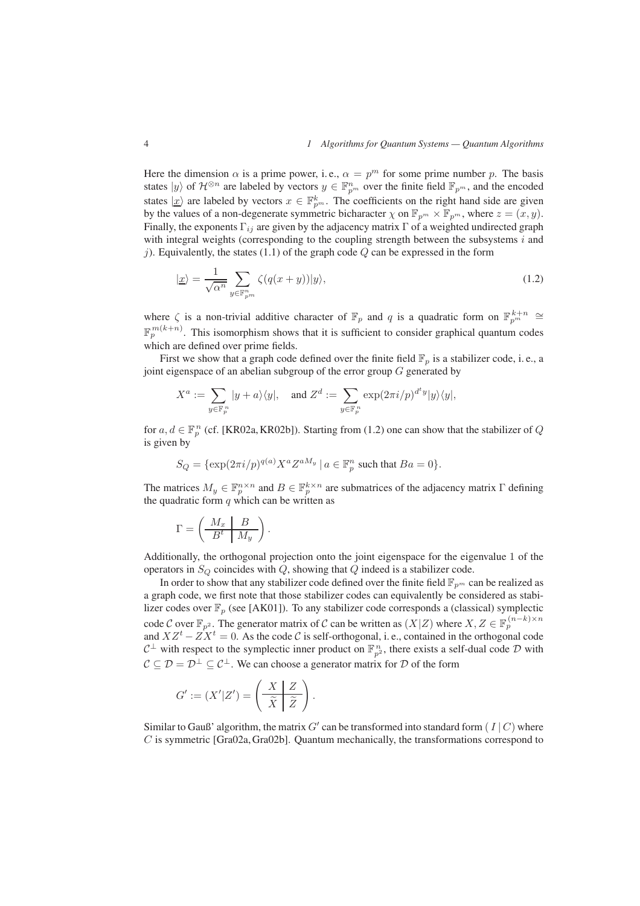Here the dimension  $\alpha$  is a prime power, i.e.,  $\alpha = p^m$  for some prime number p. The basis states  $|y\rangle$  of  $\mathcal{H}^{\otimes n}$  are labeled by vectors  $y \in \mathbb{F}_{p^m}^n$  over the finite field  $\mathbb{F}_{p^m}$ , and the encoded states  $|x\rangle$  are labeled by vectors  $x \in \mathbb{F}_{n^m}^k$ . The coefficients on the right hand side are given by the values of a non-degenerate symmetric bicharacter  $\chi$  on  $\mathbb{F}_{p^m} \times \mathbb{F}_{p^m}$ , where  $z = (x, y)$ . Finally, the exponents  $\Gamma_{ij}$  are given by the adjacency matrix  $\Gamma$  of a weighted undirected graph with integral weights (corresponding to the coupling strength between the subsystems  $i$  and j). Equivalently, the states (1.1) of the graph code  $Q$  can be expressed in the form

$$
|\underline{x}\rangle = \frac{1}{\sqrt{\alpha^n}} \sum_{y \in \mathbb{F}_{p^m}^n} \zeta(q(x+y)) |y\rangle, \tag{1.2}
$$

where  $\zeta$  is a non-trivial additive character of  $\mathbb{F}_p$  and q is a quadratic form on  $\mathbb{F}_{p^m}^{k+n} \cong$  $\mathbb{F}_n^{m(k+n)}$ . This isomorphism shows that it is sufficient to consider graphical quantum codes which are defined over prime fields.

First we show that a graph code defined over the finite field  $\mathbb{F}_p$  is a stabilizer code, i.e., a joint eigenspace of an abelian subgroup of the error group  $G$  generated by

$$
X^a := \sum_{y \in \mathbb{F}_p^n} |y + a\rangle\langle y|, \quad \text{and } Z^d := \sum_{y \in \mathbb{F}_p^n} \exp(2\pi i/p)^{d^t y} |y\rangle\langle y|,
$$

for  $a, d \in \mathbb{F}_n^n$  (cf. [KR02a, KR02b]). Starting from (1.2) one can show that the stabilizer of Q is given by

$$
S_Q = \{ \exp(2\pi i/p)^{q(a)} X^a Z^{aM_y} \mid a \in \mathbb{F}_p^n \text{ such that } Ba = 0 \}.
$$

The matrices  $M_y \in \mathbb{F}_p^{n \times n}$  and  $B \in \mathbb{F}_p^{k \times n}$  are submatrices of the adjacency matrix Γ defining the quadratic form  $q$  which can be written as

$$
\Gamma = \left(\begin{array}{c|c} M_x & B \\ \hline B^t & M_y \end{array}\right).
$$

Additionally, the orthogonal projection onto the joint eigenspace for the eigenvalue 1 of the operators in  $S_Q$  coincides with  $Q$ , showing that  $Q$  indeed is a stabilizer code.

In order to show that any stabilizer code defined over the finite field  $\mathbb{F}_{p^m}$  can be realized as a graph code, we first note that those stabilizer codes can equivalently be considered as stabilizer codes over  $\mathbb{F}_p$  (see [AK01]). To any stabilizer code corresponds a (classical) symplectic code C over  $\mathbb{F}_{p^2}$ . The generator matrix of C can be written as  $(X|Z)$  where  $X, Z \in \mathbb{F}_p^{(n-k)\times n}$ and  $XZ^t - \overline{Z}X^t = 0$ . As the code C is self-orthogonal, i. e., contained in the orthogonal code  $C^{\perp}$  with respect to the symplectic inner product on  $\mathbb{F}_{p^2}^n$ , there exists a self-dual code  $\mathcal D$  with  $C \subseteq \mathcal{D} = \mathcal{D}^{\perp} \subseteq \mathcal{C}^{\perp}$ . We can choose a generator matrix for  $\mathcal{D}$  of the form

$$
G' := (X'|Z') = \left(\begin{array}{c|c} X & Z \\ \hline \tilde{X} & \tilde{Z} \end{array}\right)
$$

Similar to Gauß' algorithm, the matrix G' can be transformed into standard form  $(I | C)$  where  $C$  is symmetric [Gra02a, Gra02b]. Quantum mechanically, the transformations correspond to

.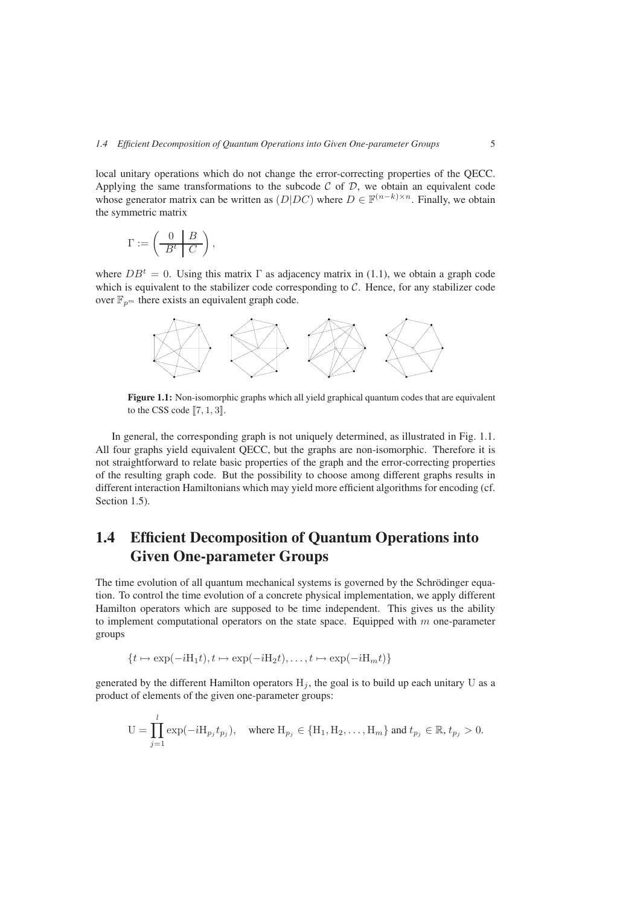local unitary operations which do not change the error-correcting properties of the QECC. Applying the same transformations to the subcode  $\mathcal C$  of  $\mathcal D$ , we obtain an equivalent code whose generator matrix can be written as  $(D|DC)$  where  $D \in \mathbb{F}^{(n-k)\times n}$ . Finally, we obtain the symmetric matrix

$$
\Gamma := \left(\begin{array}{c|c} 0 & B \\ \hline B^t & C \end{array}\right),\,
$$

where  $DB<sup>t</sup> = 0$ . Using this matrix Γ as adjacency matrix in (1.1), we obtain a graph code which is equivalent to the stabilizer code corresponding to  $C$ . Hence, for any stabilizer code over  $\mathbb{F}_{p^m}$  there exists an equivalent graph code.



Figure 1.1: Non-isomorphic graphs which all yield graphical quantum codes that are equivalent to the CSS code  $[7, 1, 3]$ .

In general, the corresponding graph is not uniquely determined, as illustrated in Fig. 1.1. All four graphs yield equivalent QECC, but the graphs are non-isomorphic. Therefore it is not straightforward to relate basic properties of the graph and the error-correcting properties of the resulting graph code. But the possibility to choose among different graphs results in different interaction Hamiltonians which may yield more efficient algorithms for encoding (cf. Section 1.5).

# **1.4 Efficient Decomposition of Quantum Operations into Given One-parameter Groups**

The time evolution of all quantum mechanical systems is governed by the Schrödinger equation. To control the time evolution of a concrete physical implementation, we apply different Hamilton operators which are supposed to be time independent. This gives us the ability to implement computational operators on the state space. Equipped with  $m$  one-parameter groups

$$
\{t \mapsto \exp(-iH_1t), t \mapsto \exp(-iH_2t), \dots, t \mapsto \exp(-iH_mt)\}
$$

generated by the different Hamilton operators  $H_j$ , the goal is to build up each unitary U as a product of elements of the given one-parameter groups:

$$
\mathbf{U} = \prod_{j=1}^l \exp(-i\mathbf{H}_{p_j}t_{p_j}), \quad \text{where } \mathbf{H}_{p_j} \in \{\mathbf{H}_1, \mathbf{H}_2, \dots, \mathbf{H}_m\} \text{ and } t_{p_j} \in \mathbb{R}, t_{p_j} > 0.
$$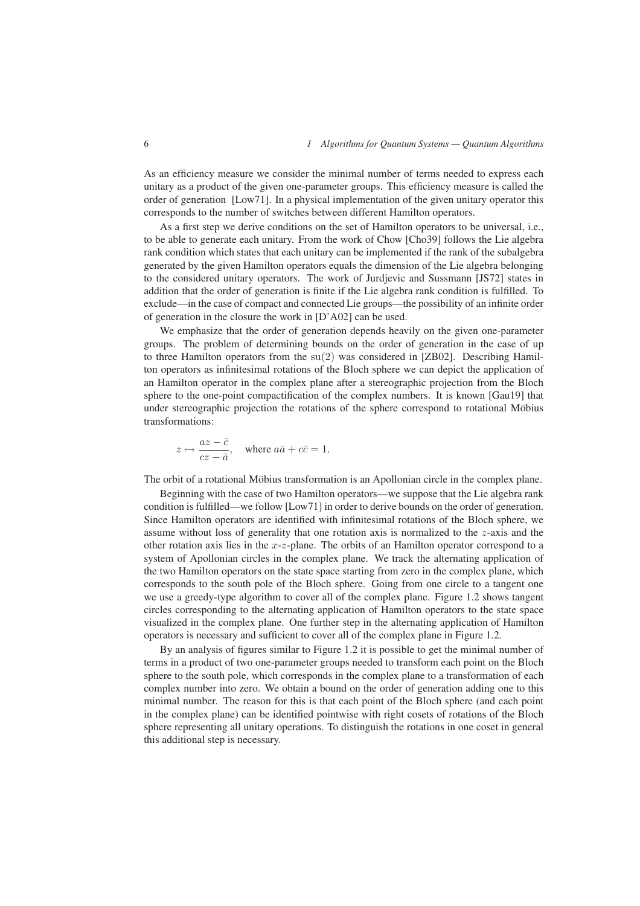As an efficiency measure we consider the minimal number of terms needed to express each unitary as a product of the given one-parameter groups. This efficiency measure is called the order of generation [Low71]. In a physical implementation of the given unitary operator this corresponds to the number of switches between different Hamilton operators.

As a first step we derive conditions on the set of Hamilton operators to be universal, i.e., to be able to generate each unitary. From the work of Chow [Cho39] follows the Lie algebra rank condition which states that each unitary can be implemented if the rank of the subalgebra generated by the given Hamilton operators equals the dimension of the Lie algebra belonging to the considered unitary operators. The work of Jurdjevic and Sussmann [JS72] states in addition that the order of generation is finite if the Lie algebra rank condition is fulfilled. To exclude—in the case of compact and connected Lie groups—the possibility of an infinite order of generation in the closure the work in [D'A02] can be used.

We emphasize that the order of generation depends heavily on the given one-parameter groups. The problem of determining bounds on the order of generation in the case of up to three Hamilton operators from the su(2) was considered in [ZB02]. Describing Hamilton operators as infinitesimal rotations of the Bloch sphere we can depict the application of an Hamilton operator in the complex plane after a stereographic projection from the Bloch sphere to the one-point compactification of the complex numbers. It is known [Gau19] that under stereographic projection the rotations of the sphere correspond to rotational Möbius transformations:

$$
z \mapsto \frac{az - \bar{c}}{cz - \bar{a}},
$$
 where  $a\bar{a} + c\bar{c} = 1.$ 

The orbit of a rotational Möbius transformation is an Apollonian circle in the complex plane.

Beginning with the case of two Hamilton operators—we suppose that the Lie algebra rank condition is fulfilled—we follow [Low71] in order to derive bounds on the order of generation. Since Hamilton operators are identified with infinitesimal rotations of the Bloch sphere, we assume without loss of generality that one rotation axis is normalized to the z-axis and the other rotation axis lies in the  $x-z$ -plane. The orbits of an Hamilton operator correspond to a system of Apollonian circles in the complex plane. We track the alternating application of the two Hamilton operators on the state space starting from zero in the complex plane, which corresponds to the south pole of the Bloch sphere. Going from one circle to a tangent one we use a greedy-type algorithm to cover all of the complex plane. Figure 1.2 shows tangent circles corresponding to the alternating application of Hamilton operators to the state space visualized in the complex plane. One further step in the alternating application of Hamilton operators is necessary and sufficient to cover all of the complex plane in Figure 1.2.

By an analysis of figures similar to Figure 1.2 it is possible to get the minimal number of terms in a product of two one-parameter groups needed to transform each point on the Bloch sphere to the south pole, which corresponds in the complex plane to a transformation of each complex number into zero. We obtain a bound on the order of generation adding one to this minimal number. The reason for this is that each point of the Bloch sphere (and each point in the complex plane) can be identified pointwise with right cosets of rotations of the Bloch sphere representing all unitary operations. To distinguish the rotations in one coset in general this additional step is necessary.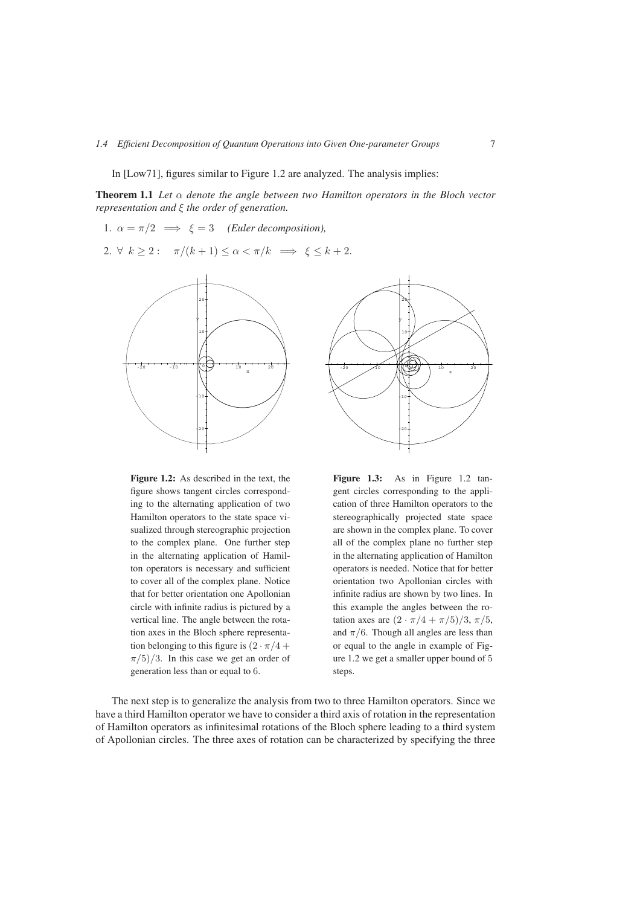In [Low71], figures similar to Figure 1.2 are analyzed. The analysis implies:

**Theorem 1.1** *Let* α *denote the angle between two Hamilton operators in the Bloch vector representation and* ξ *the order of generation.*

1.  $\alpha = \pi/2 \implies \xi = 3$  *(Euler decomposition),* 

2.  $\forall k \geq 2: \quad \pi/(k+1) \leq \alpha < \pi/k \implies \xi \leq k+2.$ 





**Figure 1.2:** As described in the text, the figure shows tangent circles corresponding to the alternating application of two Hamilton operators to the state space visualized through stereographic projection to the complex plane. One further step in the alternating application of Hamilton operators is necessary and sufficient to cover all of the complex plane. Notice that for better orientation one Apollonian circle with infinite radius is pictured by a vertical line. The angle between the rotation axes in the Bloch sphere representation belonging to this figure is  $(2 \cdot \pi/4 +$  $\pi/5/3$ . In this case we get an order of generation less than or equal to 6.

**Figure 1.3:** As in Figure 1.2 tangent circles corresponding to the application of three Hamilton operators to the stereographically projected state space are shown in the complex plane. To cover all of the complex plane no further step in the alternating application of Hamilton operators is needed. Notice that for better orientation two Apollonian circles with infinite radius are shown by two lines. In this example the angles between the rotation axes are  $(2 \cdot \pi/4 + \pi/5)/3$ ,  $\pi/5$ , and  $\pi/6$ . Though all angles are less than or equal to the angle in example of Figure 1.2 we get a smaller upper bound of 5 steps.

The next step is to generalize the analysis from two to three Hamilton operators. Since we have a third Hamilton operator we have to consider a third axis of rotation in the representation of Hamilton operators as infinitesimal rotations of the Bloch sphere leading to a third system of Apollonian circles. The three axes of rotation can be characterized by specifying the three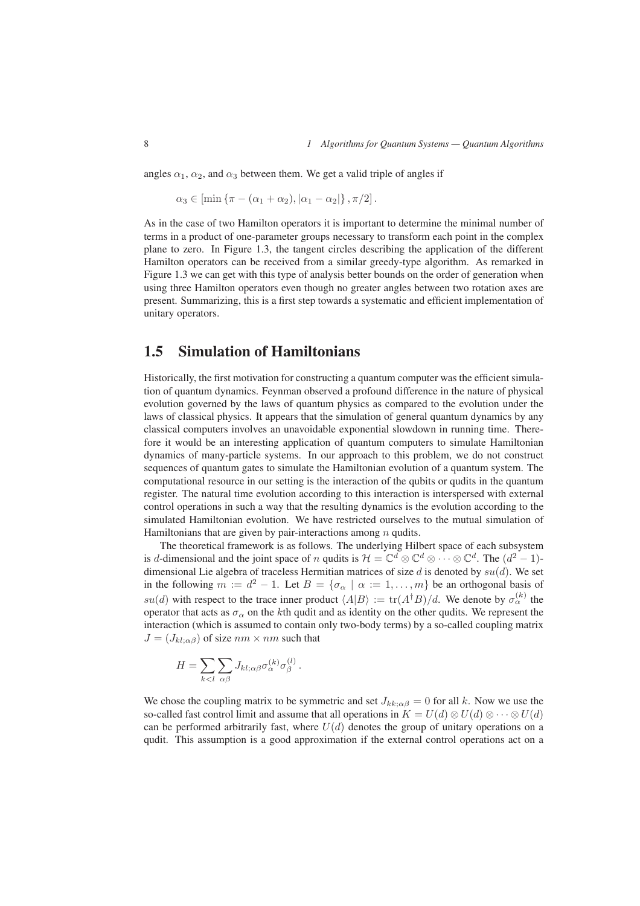angles  $\alpha_1$ ,  $\alpha_2$ , and  $\alpha_3$  between them. We get a valid triple of angles if

 $\alpha_3 \in \left[ \min \{ \pi - (\alpha_1 + \alpha_2), |\alpha_1 - \alpha_2| \}, \pi/2 \right].$ 

As in the case of two Hamilton operators it is important to determine the minimal number of terms in a product of one-parameter groups necessary to transform each point in the complex plane to zero. In Figure 1.3, the tangent circles describing the application of the different Hamilton operators can be received from a similar greedy-type algorithm. As remarked in Figure 1.3 we can get with this type of analysis better bounds on the order of generation when using three Hamilton operators even though no greater angles between two rotation axes are present. Summarizing, this is a first step towards a systematic and efficient implementation of unitary operators.

## **1.5 Simulation of Hamiltonians**

Historically, the first motivation for constructing a quantum computer was the efficient simulation of quantum dynamics. Feynman observed a profound difference in the nature of physical evolution governed by the laws of quantum physics as compared to the evolution under the laws of classical physics. It appears that the simulation of general quantum dynamics by any classical computers involves an unavoidable exponential slowdown in running time. Therefore it would be an interesting application of quantum computers to simulate Hamiltonian dynamics of many-particle systems. In our approach to this problem, we do not construct sequences of quantum gates to simulate the Hamiltonian evolution of a quantum system. The computational resource in our setting is the interaction of the qubits or qudits in the quantum register. The natural time evolution according to this interaction is interspersed with external control operations in such a way that the resulting dynamics is the evolution according to the simulated Hamiltonian evolution. We have restricted ourselves to the mutual simulation of Hamiltonians that are given by pair-interactions among  $n$  qudits.

The theoretical framework is as follows. The underlying Hilbert space of each subsystem is d-dimensional and the joint space of n qudits is  $\mathcal{H} = \mathbb{C}^d \otimes \mathbb{C}^d \otimes \cdots \otimes \mathbb{C}^d$ . The  $(d^2 - 1)$ dimensional Lie algebra of traceless Hermitian matrices of size d is denoted by  $su(d)$ . We set in the following  $m := d^2 - 1$ . Let  $B = \{\sigma_{\alpha} \mid \alpha := 1, \ldots, m\}$  be an orthogonal basis of su(d) with respect to the trace inner product  $\langle A|B \rangle := \text{tr}(A^{\dagger}B)/d$ . We denote by  $\sigma_{\alpha}^{(k)}$  the operator that acts as  $\sigma_{\alpha}$  on the kth qudit and as identity on the other qudits. We represent the interaction (which is assumed to contain only two-body terms) by a so-called coupling matrix  $J = (J_{kl;\alpha\beta})$  of size  $nm \times nm$  such that

$$
H = \sum_{k < l} \sum_{\alpha \beta} J_{kl; \alpha \beta} \sigma_{\alpha}^{(k)} \sigma_{\beta}^{(l)}.
$$

We chose the coupling matrix to be symmetric and set  $J_{kk;\alpha\beta} = 0$  for all k. Now we use the so-called fast control limit and assume that all operations in  $K = U(d) \otimes U(d) \otimes \cdots \otimes U(d)$ can be performed arbitrarily fast, where  $U(d)$  denotes the group of unitary operations on a qudit. This assumption is a good approximation if the external control operations act on a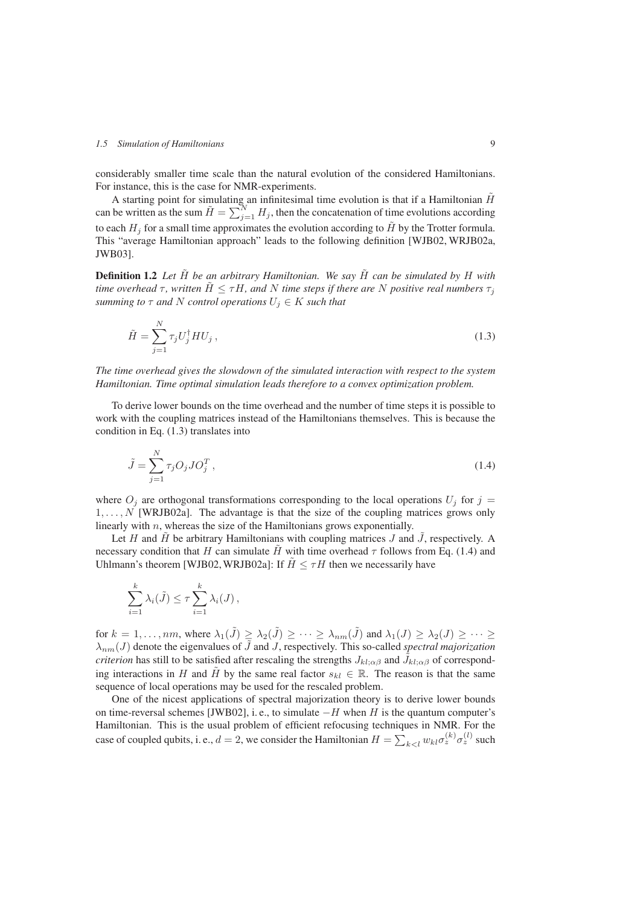considerably smaller time scale than the natural evolution of the considered Hamiltonians. For instance, this is the case for NMR-experiments.

A starting point for simulating an infinitesimal time evolution is that if a Hamiltonian  $\hat{H}$ can be written as the sum  $\tilde{H} = \sum_{j=1}^{N} H_j$ , then the concatenation of time evolutions according to each  $H_j$  for a small time approximates the evolution according to  $\tilde{H}$  by the Trotter formula. This "average Hamiltonian approach" leads to the following definition [WJB02, WRJB02a, JWB03].

**Definition 1.2** Let  $\tilde{H}$  be an arbitrary Hamiltonian. We say  $\tilde{H}$  can be simulated by H with *time overhead*  $\tau$ , written  $\tilde{H} \leq \tau H$ , and N time steps if there are N positive real numbers  $\tau_i$ *summing to*  $\tau$  *and* N *control operations*  $U_i \in K$  *such that* 

$$
\tilde{H} = \sum_{j=1}^{N} \tau_j U_j^{\dagger} H U_j , \qquad (1.3)
$$

*The time overhead gives the slowdown of the simulated interaction with respect to the system Hamiltonian. Time optimal simulation leads therefore to a convex optimization problem.*

To derive lower bounds on the time overhead and the number of time steps it is possible to work with the coupling matrices instead of the Hamiltonians themselves. This is because the condition in Eq. (1.3) translates into

$$
\tilde{J} = \sum_{j=1}^{N} \tau_j O_j J O_j^T,\tag{1.4}
$$

where  $O_i$  are orthogonal transformations corresponding to the local operations  $U_i$  for  $j =$  $1, \ldots, N$  [WRJB02a]. The advantage is that the size of the coupling matrices grows only linearly with  $n$ , whereas the size of the Hamiltonians grows exponentially.

Let H and  $\hat{H}$  be arbitrary Hamiltonians with coupling matrices  $J$  and  $\hat{J}$ , respectively. A necessary condition that H can simulate H with time overhead  $\tau$  follows from Eq. (1.4) and Uhlmann's theorem [WJB02, WRJB02a]: If  $H \leq \tau H$  then we necessarily have

$$
\sum_{i=1}^k \lambda_i(\tilde{J}) \leq \tau \sum_{i=1}^k \lambda_i(J),
$$

for  $k = 1, \ldots, nm$ , where  $\lambda_1(\tilde{J}) \geq \lambda_2(\tilde{J}) \geq \cdots \geq \lambda_{nm}(\tilde{J})$  and  $\lambda_1(J) \geq \lambda_2(J) \geq \cdots \geq \lambda_{nm}(\tilde{J})$  $\lambda_{nm}(J)$  denote the eigenvalues of  $\tilde{J}$  and  $J$ , respectively. This so-called *spectral majorization criterion* has still to be satisfied after rescaling the strengths  $J_{kl;\alpha\beta}$  and  $\hat{J}_{kl;\alpha\beta}$  of corresponding interactions in H and  $\tilde{H}$  by the same real factor  $s_{kl} \in \mathbb{R}$ . The reason is that the same sequence of local operations may be used for the rescaled problem.

One of the nicest applications of spectral majorization theory is to derive lower bounds on time-reversal schemes [JWB02], i. e., to simulate  $-H$  when H is the quantum computer's Hamiltonian. This is the usual problem of efficient refocusing techniques in NMR. For the case of coupled qubits, i. e.,  $d = 2$ , we consider the Hamiltonian  $H = \sum_{k \leq l} w_{kl} \sigma_z^{(k)} \sigma_z^{(l)}$  such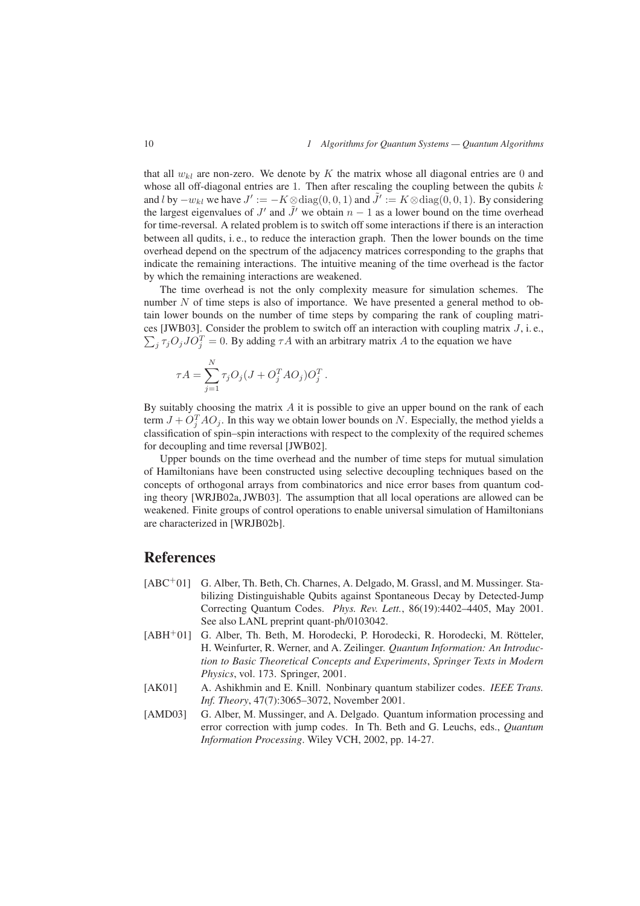that all  $w_{kl}$  are non-zero. We denote by K the matrix whose all diagonal entries are 0 and whose all off-diagonal entries are 1. Then after rescaling the coupling between the qubits  $k$ and l by  $-w_{kl}$  we have  $J' := -K \otimes diag(0, 0, 1)$  and  $\tilde{J}' := K \otimes diag(0, 0, 1)$ . By considering the largest eigenvalues of  $J'$  and  $\tilde{J}'$  we obtain  $n-1$  as a lower bound on the time overhead for time-reversal. A related problem is to switch off some interactions if there is an interaction between all qudits, i. e., to reduce the interaction graph. Then the lower bounds on the time overhead depend on the spectrum of the adjacency matrices corresponding to the graphs that indicate the remaining interactions. The intuitive meaning of the time overhead is the factor by which the remaining interactions are weakened.

The time overhead is not the only complexity measure for simulation schemes. The number  $N$  of time steps is also of importance. We have presented a general method to obtain lower bounds on the number of time steps by comparing the rank of coupling matrices [JWB03]. Consider the problem to switch off an interaction with coupling matrix  $J$ , i.e.,  $\sum_{i} \tau_{j} O_{j} J O_{i}^{T} = 0$ . By adding  $\tau A$  with an arbitrary matrix A to the equation we have

$$
\tau A = \sum_{j=1}^N \tau_j O_j (J + O_j^T A O_j) O_j^T.
$$

By suitably choosing the matrix  $A$  it is possible to give an upper bound on the rank of each term  $J + O<sub>i</sub><sup>T</sup> A O<sub>j</sub>$ . In this way we obtain lower bounds on N. Especially, the method yields a classification of spin–spin interactions with respect to the complexity of the required schemes for decoupling and time reversal [JWB02].

Upper bounds on the time overhead and the number of time steps for mutual simulation of Hamiltonians have been constructed using selective decoupling techniques based on the concepts of orthogonal arrays from combinatorics and nice error bases from quantum coding theory [WRJB02a, JWB03]. The assumption that all local operations are allowed can be weakened. Finite groups of control operations to enable universal simulation of Hamiltonians are characterized in [WRJB02b].

#### **References**

- [ABC<sup>+</sup>01] G. Alber, Th. Beth, Ch. Charnes, A. Delgado, M. Grassl, and M. Mussinger. Stabilizing Distinguishable Qubits against Spontaneous Decay by Detected-Jump Correcting Quantum Codes. *Phys. Rev. Lett.*, 86(19):4402–4405, May 2001. See also LANL preprint quant-ph/0103042.
- [ABH+01] G. Alber, Th. Beth, M. Horodecki, P. Horodecki, R. Horodecki, M. Rötteler, H. Weinfurter, R. Werner, and A. Zeilinger. *Quantum Information: An Introduction to Basic Theoretical Concepts and Experiments*, *Springer Texts in Modern Physics*, vol. 173. Springer, 2001.
- [AK01] A. Ashikhmin and E. Knill. Nonbinary quantum stabilizer codes. *IEEE Trans. Inf. Theory*, 47(7):3065–3072, November 2001.
- [AMD03] G. Alber, M. Mussinger, and A. Delgado. Quantum information processing and error correction with jump codes. In Th. Beth and G. Leuchs, eds., *Quantum Information Processing*. Wiley VCH, 2002, pp. 14-27.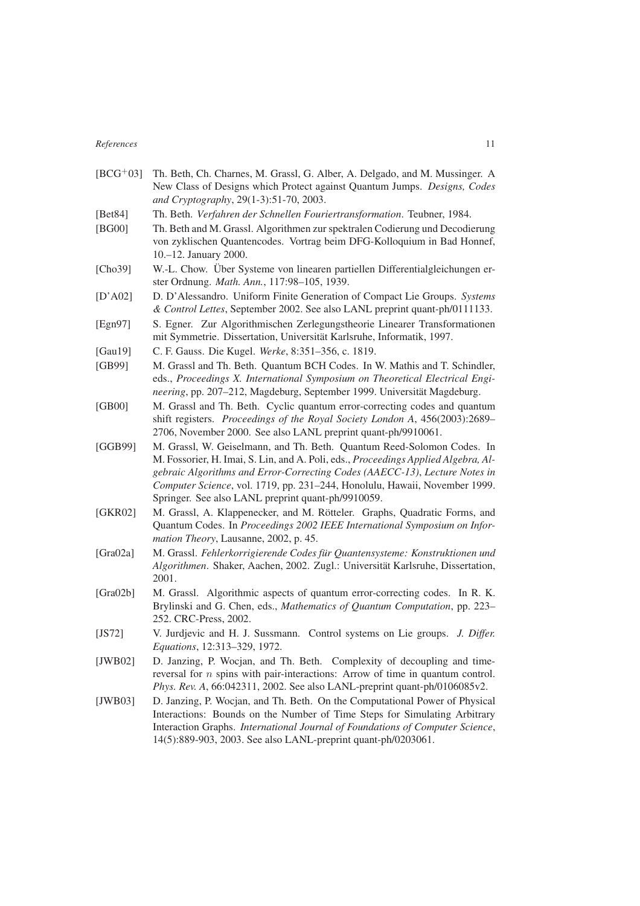## *References* 11

| $[BCG^+03]$  | Th. Beth, Ch. Charnes, M. Grassl, G. Alber, A. Delgado, and M. Mussinger. A<br>New Class of Designs which Protect against Quantum Jumps. Designs, Codes<br>and Cryptography, 29(1-3):51-70, 2003.                                                                                                                                                                              |
|--------------|--------------------------------------------------------------------------------------------------------------------------------------------------------------------------------------------------------------------------------------------------------------------------------------------------------------------------------------------------------------------------------|
| [Beta4]      | Th. Beth. Verfahren der Schnellen Fouriertransformation. Teubner, 1984.                                                                                                                                                                                                                                                                                                        |
| [BG00]       | Th. Beth and M. Grassl. Algorithmen zur spektralen Codierung und Decodierung<br>von zyklischen Quantencodes. Vortrag beim DFG-Kolloquium in Bad Honnef,<br>10.-12. January 2000.                                                                                                                                                                                               |
| [Cho39]      | W.-L. Chow. Über Systeme von linearen partiellen Differentialgleichungen er-<br>ster Ordnung. Math. Ann., 117:98-105, 1939.                                                                                                                                                                                                                                                    |
| [D'A02]      | D. D'Alessandro. Uniform Finite Generation of Compact Lie Groups. Systems<br>& Control Lettes, September 2002. See also LANL preprint quant-ph/0111133.                                                                                                                                                                                                                        |
| [Egn97]      | S. Egner. Zur Algorithmischen Zerlegungstheorie Linearer Transformationen<br>mit Symmetrie. Dissertation, Universität Karlsruhe, Informatik, 1997.                                                                                                                                                                                                                             |
| [Gau19]      | C. F. Gauss. Die Kugel. Werke, 8:351-356, c. 1819.                                                                                                                                                                                                                                                                                                                             |
| [GB99]       | M. Grassl and Th. Beth. Quantum BCH Codes. In W. Mathis and T. Schindler,<br>eds., Proceedings X. International Symposium on Theoretical Electrical Engi-<br>neering, pp. 207-212, Magdeburg, September 1999. Universität Magdeburg.                                                                                                                                           |
| [GB00]       | M. Grassl and Th. Beth. Cyclic quantum error-correcting codes and quantum<br>shift registers. Proceedings of the Royal Society London A, 456(2003):2689-<br>2706, November 2000. See also LANL preprint quant-ph/9910061.                                                                                                                                                      |
| [GGB99]      | M. Grassl, W. Geiselmann, and Th. Beth. Quantum Reed-Solomon Codes. In<br>M. Fossorier, H. Imai, S. Lin, and A. Poli, eds., Proceedings Applied Algebra, Al-<br>gebraic Algorithms and Error-Correcting Codes (AAECC-13), Lecture Notes in<br>Computer Science, vol. 1719, pp. 231-244, Honolulu, Hawaii, November 1999.<br>Springer. See also LANL preprint quant-ph/9910059. |
| [GKR02]      | M. Grassl, A. Klappenecker, and M. Rötteler. Graphs, Quadratic Forms, and<br>Quantum Codes. In Proceedings 2002 IEEE International Symposium on Infor-<br>mation Theory, Lausanne, 2002, p. 45.                                                                                                                                                                                |
| [ $Gra02a$ ] | M. Grassl. Fehlerkorrigierende Codes für Quantensysteme: Konstruktionen und<br>Algorithmen. Shaker, Aachen, 2002. Zugl.: Universität Karlsruhe, Dissertation,<br>2001.                                                                                                                                                                                                         |
| [Gra02b]     | M. Grassl. Algorithmic aspects of quantum error-correcting codes. In R. K.<br>Brylinski and G. Chen, eds., Mathematics of Quantum Computation, pp. 223–<br>252. CRC-Press, 2002.                                                                                                                                                                                               |
| [JS72]       | V. Jurdjevic and H. J. Sussmann. Control systems on Lie groups. J. Differ.<br>Equations, 12:313-329, 1972.                                                                                                                                                                                                                                                                     |
| [JWB02]      | D. Janzing, P. Wocjan, and Th. Beth. Complexity of decoupling and time-<br>reversal for $n$ spins with pair-interactions: Arrow of time in quantum control.<br>Phys. Rev. A, 66:042311, 2002. See also LANL-preprint quant-ph/0106085v2.                                                                                                                                       |
| [JWB03]      | D. Janzing, P. Wocjan, and Th. Beth. On the Computational Power of Physical<br>Interactions: Bounds on the Number of Time Steps for Simulating Arbitrary<br>Interaction Graphs. International Journal of Foundations of Computer Science,<br>14(5):889-903, 2003. See also LANL-preprint quant-ph/0203061.                                                                     |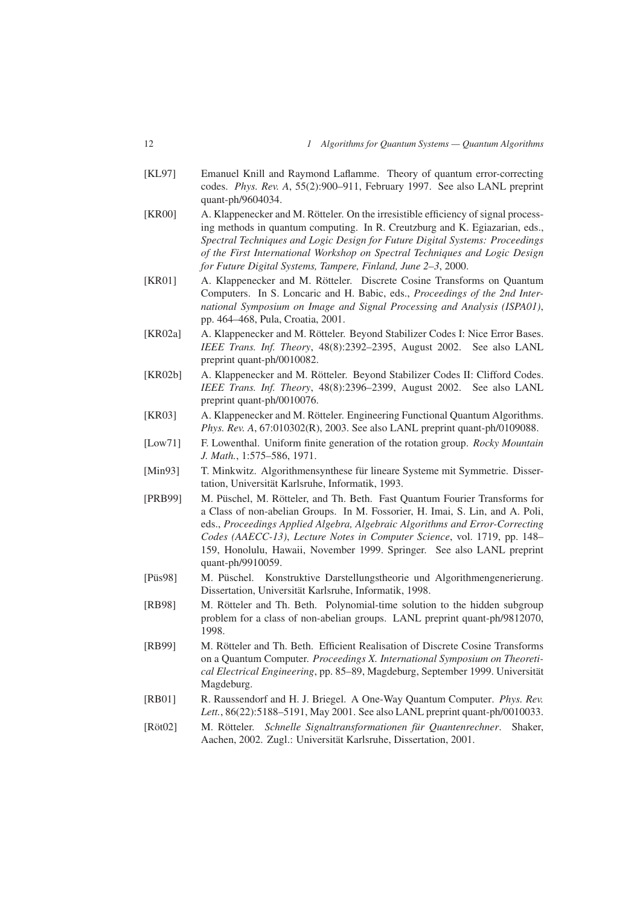- [KL97] Emanuel Knill and Raymond Laflamme. Theory of quantum error-correcting codes. *Phys. Rev. A*, 55(2):900–911, February 1997. See also LANL preprint quant-ph/9604034.
- [KR00] A. Klappenecker and M. Rötteler. On the irresistible efficiency of signal processing methods in quantum computing. In R. Creutzburg and K. Egiazarian, eds., *Spectral Techniques and Logic Design for Future Digital Systems: Proceedings of the First International Workshop on Spectral Techniques and Logic Design for Future Digital Systems, Tampere, Finland, June 2–3*, 2000.
- [KR01] A. Klappenecker and M. Rötteler. Discrete Cosine Transforms on Quantum Computers. In S. Loncaric and H. Babic, eds., *Proceedings of the 2nd International Symposium on Image and Signal Processing and Analysis (ISPA01)*, pp. 464–468, Pula, Croatia, 2001.
- [KR02a] A. Klappenecker and M. Rötteler. Beyond Stabilizer Codes I: Nice Error Bases. *IEEE Trans. Inf. Theory*, 48(8):2392–2395, August 2002. See also LANL preprint quant-ph/0010082.
- [KR02b] A. Klappenecker and M. Rötteler. Beyond Stabilizer Codes II: Clifford Codes. *IEEE Trans. Inf. Theory*, 48(8):2396–2399, August 2002. See also LANL preprint quant-ph/0010076.
- [KR03] A. Klappenecker and M. Rötteler. Engineering Functional Quantum Algorithms. *Phys. Rev. A*, 67:010302(R), 2003. See also LANL preprint quant-ph/0109088.
- [Low71] F. Lowenthal. Uniform finite generation of the rotation group. *Rocky Mountain J. Math.*, 1:575–586, 1971.
- [Min93] T. Minkwitz. Algorithmensynthese für lineare Systeme mit Symmetrie. Dissertation, Universität Karlsruhe, Informatik, 1993.
- [PRB99] M. Püschel, M. Rötteler, and Th. Beth. Fast Quantum Fourier Transforms for a Class of non-abelian Groups. In M. Fossorier, H. Imai, S. Lin, and A. Poli, eds., *Proceedings Applied Algebra, Algebraic Algorithms and Error-Correcting Codes (AAECC-13)*, *Lecture Notes in Computer Science*, vol. 1719, pp. 148– 159, Honolulu, Hawaii, November 1999. Springer. See also LANL preprint quant-ph/9910059.
- [Püs98] M. Püschel. Konstruktive Darstellungstheorie und Algorithmengenerierung. Dissertation, Universität Karlsruhe, Informatik, 1998.
- [RB98] M. Rötteler and Th. Beth. Polynomial-time solution to the hidden subgroup problem for a class of non-abelian groups. LANL preprint quant-ph/9812070, 1998.
- [RB99] M. Rötteler and Th. Beth. Efficient Realisation of Discrete Cosine Transforms on a Quantum Computer. *Proceedings X. International Symposium on Theoretical Electrical Engineering*, pp. 85–89, Magdeburg, September 1999. Universität Magdeburg.
- [RB01] R. Raussendorf and H. J. Briegel. A One-Way Quantum Computer. *Phys. Rev. Lett.*, 86(22):5188–5191, May 2001. See also LANL preprint quant-ph/0010033.
- [Röt02] M. Rötteler. *Schnelle Signaltransformationen für Quantenrechner*. Shaker, Aachen, 2002. Zugl.: Universität Karlsruhe, Dissertation, 2001.